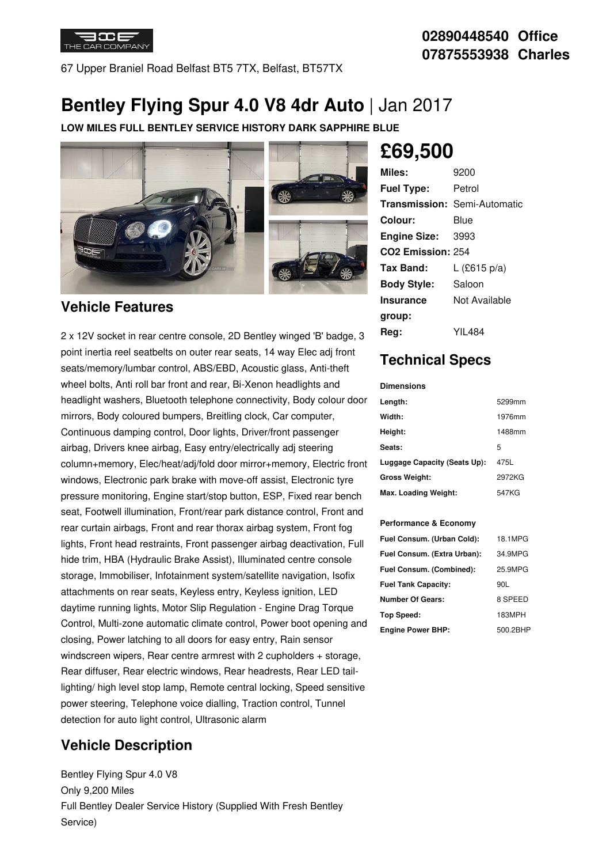

67 Upper Braniel Road Belfast BT5 7TX, Belfast, BT57TX

# **Bentley Flying Spur 4.0 V8 4dr Auto** | Jan 2017

**LOW MILES FULL BENTLEY SERVICE HISTORY DARK SAPPHIRE BLUE**



### **Vehicle Features**

2 x 12V socket in rear centre console, 2D Bentley winged 'B' badge, 3 point inertia reel seatbelts on outer rear seats, 14 way Elec adj front seats/memory/lumbar control, ABS/EBD, Acoustic glass, Anti-theft wheel bolts, Anti roll bar front and rear, Bi-Xenon headlights and headlight washers, Bluetooth telephone connectivity, Body colour door mirrors, Body coloured bumpers, Breitling clock, Car computer, Continuous damping control, Door lights, Driver/front passenger airbag, Drivers knee airbag, Easy entry/electrically adj steering column+memory, Elec/heat/adj/fold door mirror+memory, Electric front windows, Electronic park brake with move-off assist, Electronic tyre pressure monitoring, Engine start/stop button, ESP, Fixed rear bench seat, Footwell illumination, Front/rear park distance control, Front and rear curtain airbags, Front and rear thorax airbag system, Front fog lights, Front head restraints, Front passenger airbag deactivation, Full hide trim, HBA (Hydraulic Brake Assist), Illuminated centre console storage, Immobiliser, Infotainment system/satellite navigation, Isofix attachments on rear seats, Keyless entry, Keyless ignition, LED daytime running lights, Motor Slip Regulation - Engine Drag Torque Control, Multi-zone automatic climate control, Power boot opening and closing, Power latching to all doors for easy entry, Rain sensor windscreen wipers, Rear centre armrest with 2 cupholders + storage, Rear diffuser, Rear electric windows, Rear headrests, Rear LED taillighting/ high level stop lamp, Remote central locking, Speed sensitive power steering, Telephone voice dialling, Traction control, Tunnel detection for auto light control, Ultrasonic alarm

## **Vehicle Description**

Bentley Flying Spur 4.0 V8 Only 9,200 Miles Full Bentley Dealer Service History (Supplied With Fresh Bentley Service)

# **£69,500**

| Miles:                        | 9200                                |
|-------------------------------|-------------------------------------|
| <b>Fuel Type:</b>             | Petrol                              |
|                               | <b>Transmission: Semi-Automatic</b> |
| Colour:                       | Blue                                |
| <b>Engine Size:</b>           | 3993                                |
| CO <sub>2</sub> Emission: 254 |                                     |
| Tax Band:                     | L (£615 p/a)                        |
| <b>Body Style:</b>            | Saloon                              |
| <b>Insurance</b>              | Not Available                       |
| group:                        |                                     |
| Rea:                          | YIL484                              |

### **Technical Specs**

#### **Dimensions**

| Length:                      | 5299mm |
|------------------------------|--------|
| Width:                       | 1976mm |
| Height:                      | 1488mm |
| <b>Seats:</b>                | 5      |
| Luggage Capacity (Seats Up): | 475L   |
| Gross Weight:                | 2972KG |
| Max. Loading Weight:         | 547KG  |

#### **Performance & Economy**

| Fuel Consum. (Urban Cold):  | 18.1MPG  |
|-----------------------------|----------|
| Fuel Consum. (Extra Urban): | 34.9MPG  |
| Fuel Consum. (Combined):    | 25.9MPG  |
| <b>Fuel Tank Capacity:</b>  | 90L      |
| <b>Number Of Gears:</b>     | 8 SPEED  |
| Top Speed:                  | 183MPH   |
| <b>Engine Power BHP:</b>    | 500.2BHP |